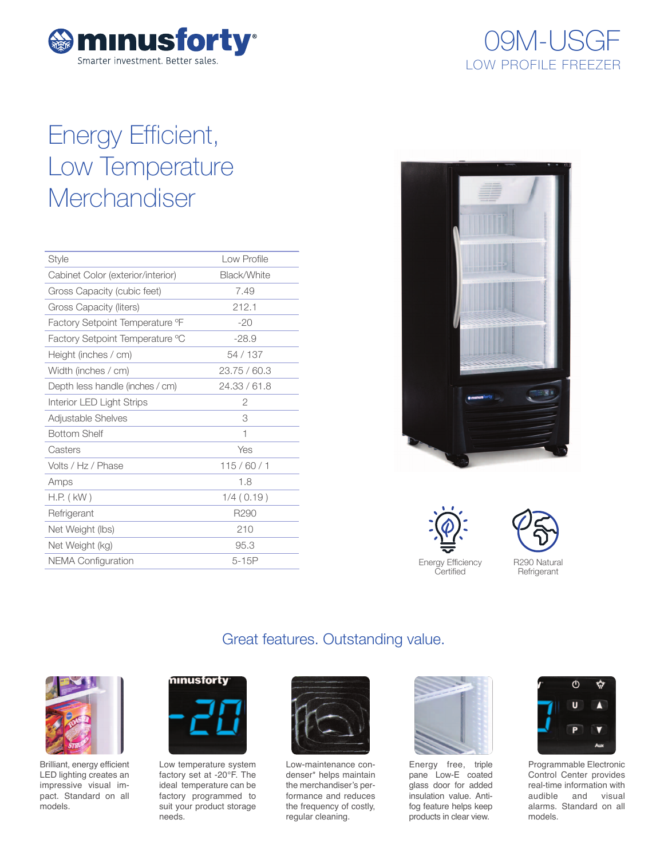

# 09M-USGF 09M-USGF LOW PROFILE FREEZER

# Energy Efficient, Low Temperature **Merchandiser**

| <b>Style</b>                      | I ow Profile     |
|-----------------------------------|------------------|
| Cabinet Color (exterior/interior) | Black/White      |
| Gross Capacity (cubic feet)       | 7.49             |
| Gross Capacity (liters)           | 212.1            |
| Factory Setpoint Temperature °F   | $-20$            |
| Factory Setpoint Temperature °C   | $-28.9$          |
| Height (inches / cm)              | 54 / 137         |
| Width (inches / cm)               | 23.75/60.3       |
| Depth less handle (inches / cm)   | 24.33 / 61.8     |
| Interior LED Light Strips         | 2                |
| Adjustable Shelves                | 3                |
| <b>Bottom Shelf</b>               | 1                |
| Casters                           | Yes              |
| Volts / Hz / Phase                | 115/60/1         |
| Amps                              | 1.8              |
| $H.P.$ ( $kW$ )                   | 1/4(0.19)        |
| Refrigerant                       | R <sub>290</sub> |
| Net Weight (lbs)                  | 210              |
| Net Weight (kg)                   | 95.3             |
| <b>NEMA Configuration</b>         | $5-15P$          |
|                                   |                  |



Energy Efficiency **Certified** 



# Great features. Outstanding value.



Brilliant, energy efficient LED lighting creates an impressive visual impact. Standard on all models.



Low temperature system factory set at -20°F. The ideal temperature can be factory programmed to suit your product storage needs.



Low-maintenance condenser\* helps maintain the merchandiser's performance and reduces the frequency of costly, regular cleaning.



Energy free, triple pane Low-E coated glass door for added insulation value. Antifog feature helps keep products in clear view.



Programmable Electronic Control Center provides real-time information with audible and visual alarms. Standard on all models.